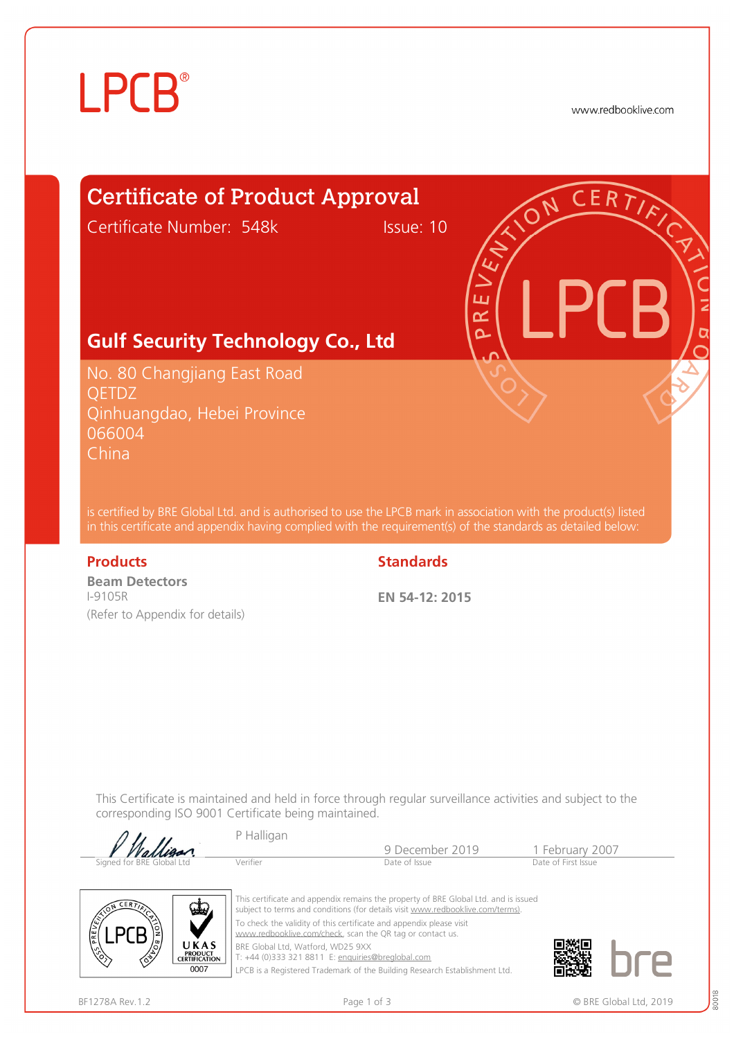# **LPCB**®

www.redbooklive.com

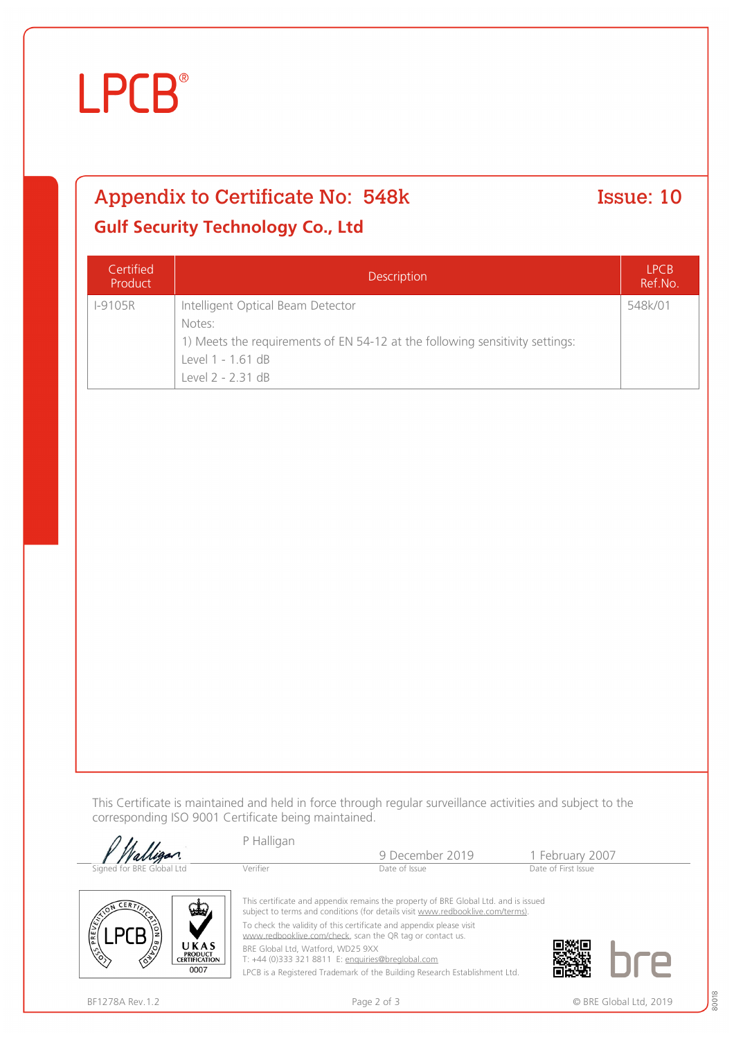# **LPCB**®

### Appendix to Certificate No: 548k Issue: 10

### **Gulf Security Technology Co., Ltd**

| Certified<br>Product | <b>Description</b>                                                                                                                                                    | <b>LPCB</b><br>Ref.No. |
|----------------------|-----------------------------------------------------------------------------------------------------------------------------------------------------------------------|------------------------|
| <b>I-9105R</b>       | Intelligent Optical Beam Detector<br>Notes:<br>1) Meets the requirements of EN 54-12 at the following sensitivity settings:<br>Level 1 - 1.61 dB<br>Level 2 - 2.31 dB | 548k/01                |

This Certificate is maintained and held in force through regular surveillance activities and subject to the corresponding ISO 9001 Certificate being maintained.